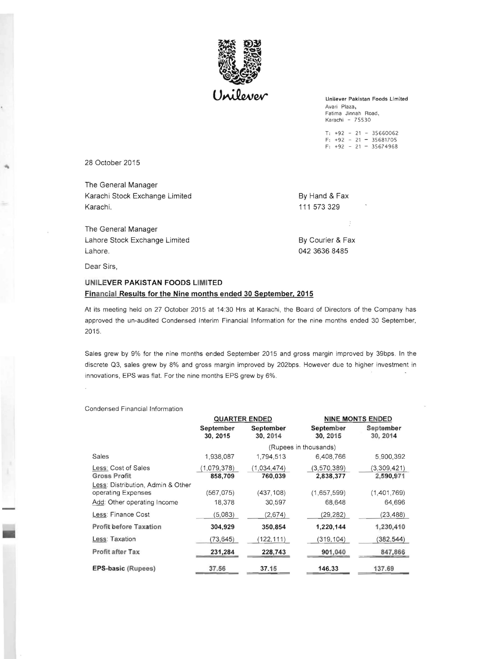

Unilever Pakistan Foods Limited Avari Plaza, Fatima Jinnah Road, Karachi - 75530

T: +92 - 21 - 35660062  $F: +92 - 21 - 35681705$  $F: +92 - 21 - 35674968$ 

28 October 2015

The General Manager Karachi Stock Exchange Limited By Hand & Fax Karachi. 111 573 329

The General Manager Lahore Stock Exchange Limited By Courier & Fax Lahore. 042 3636 8485

Dear Sirs,

## **UNILEVER PAKISTAN FOODS LIMITED Financial Results for the Nine months ended 30 September, 2015**

At its meeting held on 27 October 2015 at 14:30 Hrs at Karachi , the Board of Directors of the Company has approved the un-audited Condensed Interim Financial Information for the nine months ended 30 September, 2015.

Sales grew by 9% for the nine months ended September 2015 and gross margin improved by 39bps. In the discrete Q3, sales grew by 8% and gross margin improved by 202bps. However due to higher investment in innovations, EPS was flat. For the nine months EPS grew by 6%.

## Condensed Financial Information

|                                                                                        | <b>QUARTER ENDED</b>   |                        | <b>NINE MONTS ENDED</b>  |                          |
|----------------------------------------------------------------------------------------|------------------------|------------------------|--------------------------|--------------------------|
|                                                                                        | September<br>30, 2015  | September<br>30, 2014  | September<br>30, 2015    | September<br>30, 2014    |
|                                                                                        | (Rupees in thousands)  |                        |                          |                          |
| Sales                                                                                  | 1,938,087              | 1,794,513              | 6,408,766                | 5,900,392                |
| Less: Cost of Sales<br><b>Gross Profit</b>                                             | (1.079.378)<br>858,709 | (1,034,474)<br>760,039 | (3,570,389)<br>2,838,377 | (3.309.421)<br>2,590,971 |
| Less: Distribution, Admin & Other<br>operating Expenses<br>Add: Other operating Income | (567.075)<br>18,378    | (437.108)<br>30,597    | (1,657,599)<br>68,648    | (1,401,769)<br>64,696    |
| Less: Finance Cost                                                                     | (5.083)                | (2,674)                | (29, 282)                | (23, 488)                |
| <b>Profit before Taxation</b>                                                          | 304,929                | 350.854                | 1,220,144                | 1,230,410                |
| Less: Taxation                                                                         | (73, 645)              | 122, 111               | (319, 104)               | (382, 544)               |
| <b>Profit after Tax</b>                                                                | 231,284                | 228,743                | 901,040                  | 847,866                  |
| <b>EPS-basic (Rupees)</b>                                                              | 37.56                  | 37.15                  | 146.33                   | 137.69                   |